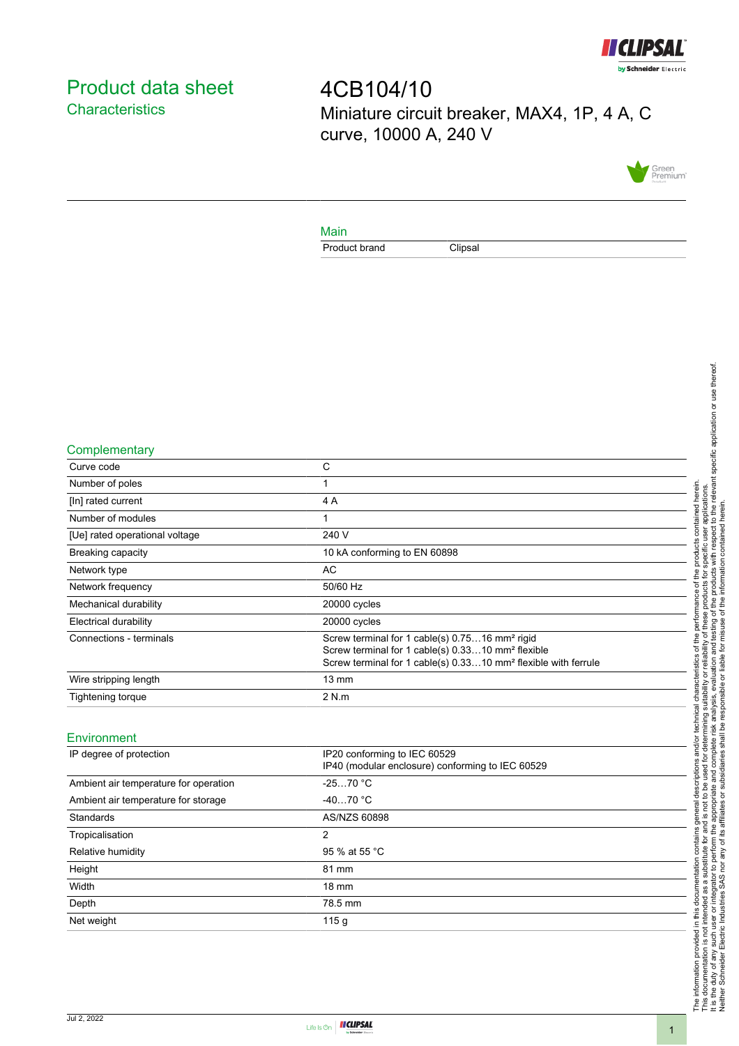

# <span id="page-0-0"></span>Product data sheet **Characteristics**

4CB104/10 Miniature circuit breaker, MAX4, 1P, 4 A, C curve, 10000 A, 240 V



### Main

Product brand Clipsal

### **Complementary**

| Curve code                     | C                                                                                                                                                                                                         |
|--------------------------------|-----------------------------------------------------------------------------------------------------------------------------------------------------------------------------------------------------------|
| Number of poles                | 1                                                                                                                                                                                                         |
| [In] rated current             | 4 A                                                                                                                                                                                                       |
| Number of modules              | 1                                                                                                                                                                                                         |
| [Ue] rated operational voltage | 240 V                                                                                                                                                                                                     |
| Breaking capacity              | 10 kA conforming to EN 60898                                                                                                                                                                              |
| Network type                   | AC.                                                                                                                                                                                                       |
| Network frequency              | 50/60 Hz                                                                                                                                                                                                  |
| Mechanical durability          | 20000 cycles                                                                                                                                                                                              |
| <b>Electrical durability</b>   | 20000 cycles                                                                                                                                                                                              |
| Connections - terminals        | Screw terminal for 1 cable(s) 0.7516 mm <sup>2</sup> rigid<br>Screw terminal for 1 cable(s) 0.3310 mm <sup>2</sup> flexible<br>Screw terminal for 1 cable(s) 0.3310 mm <sup>2</sup> flexible with ferrule |
| Wire stripping length          | $13 \text{ mm}$                                                                                                                                                                                           |
| Tightening torque              | 2 N.m                                                                                                                                                                                                     |
|                                |                                                                                                                                                                                                           |

#### **Environment**

| IP degree of protection               | IP20 conforming to IEC 60529<br>IP40 (modular enclosure) conforming to IEC 60529 |
|---------------------------------------|----------------------------------------------------------------------------------|
| Ambient air temperature for operation | $-2570 °C$                                                                       |
| Ambient air temperature for storage   | $-4070 °C$                                                                       |
| Standards                             | AS/NZS 60898                                                                     |
| Tropicalisation                       | 2                                                                                |
| Relative humidity                     | 95 % at 55 °C                                                                    |
| Height                                | 81 mm                                                                            |
| Width                                 | $18 \text{ mm}$                                                                  |
| Depth                                 | 78.5 mm                                                                          |
| Net weight                            | 115q                                                                             |